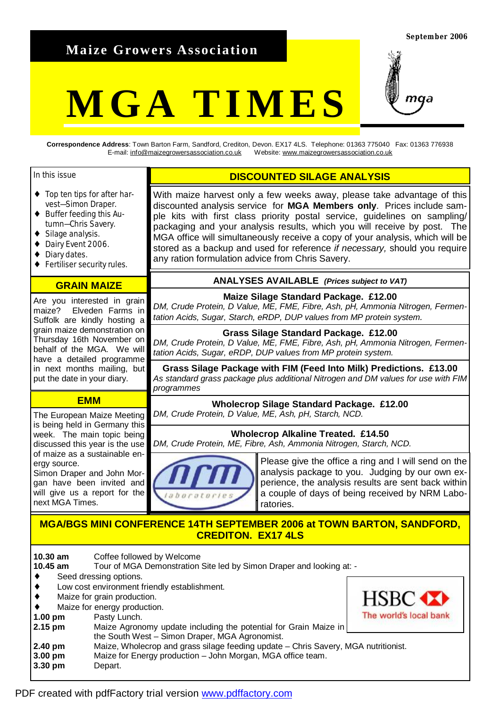**Maize Growers Association** 

#### **September 2006**

## **MGA TIMES**



**Correspondence Address**: Town Barton Farm, Sandford, Crediton, Devon. EX17 4LS. Telephone: 01363 775040 Fax: 01363 776938 E-mail: [info@maizegrowersassociation.co.uk](mailto:info@maizegrowersassociation.co.uk) Website: [www.maizegrowersassociation.co.uk](http://www.maizegrowersassociation.co.uk)

any ration formulation advice from Chris Savery.

With maize harvest only a few weeks away, please take advantage of this discounted analysis service for **MGA Members only**. Prices include sample kits with first class priority postal service, guidelines on sampling/ packaging and your analysis results, which you will receive by post. The MGA office will simultaneously receive a copy of your analysis, which will be stored as a backup and used for reference *if necessary,* should you require

**DISCOUNTED SILAGE ANALYSIS** 

**ANALYSES AVAILABLE** *(Prices subject to VAT)* **Maize Silage Standard Package. £12.00**  *DM, Crude Protein, D Value, ME, FME, Fibre, Ash, pH, Ammonia Nitrogen, Fermen-*

**Grass Silage Standard Package. £12.00**  *DM, Crude Protein, D Value, ME, FME, Fibre, Ash, pH, Ammonia Nitrogen, Fermen-*

**Grass Silage Package with FIM (Feed Into Milk) Predictions. £13.00**  *As standard grass package plus additional Nitrogen and DM values for use with FIM* 

**Wholecrop Silage Standard Package. £12.00** 

**Wholecrop Alkaline Treated. £14.50** 

*tation Acids, Sugar, Starch, eRDP, DUP values from MP protein system.*

*tation Acids, Sugar, eRDP, DUP values from MP protein system.* 

*DM, Crude Protein, D Value, ME, Ash, pH, Starch, NCD.*

#### In this issue

- ♦ Top ten tips for after harvest—Simon Draper.
- ♦ Buffer feeding this Autumn—Chris Savery.
- ♦ Silage analysis.
- ♦ Dairy Event 2006.
- ♦ Diary dates.
- ♦ Fertiliser security rules.

#### **GRAIN MAIZE**

Are you interested in grain maize? Elveden Farms in Suffolk are kindly hosting a grain maize demonstration on Thursday 16th November on behalf of the MGA. We will have a detailed programme in next months mailing, but put the date in your diary.

#### **EMM**

The European Maize Meeting is being held in Germany this week. The main topic being discussed this year is the use of maize as a sustainable energy source.

Simon Draper and John Morgan have been invited and will give us a report for the next MGA Times.

# *DM, Crude Protein, ME, Fibre, Ash, Ammonia Nitrogen, Starch, NCD.*

Please give the office a ring and I will send on the analysis package to you. Judging by our own experience, the analysis results are sent back within a couple of days of being received by NRM Laboratories.

### **MGA/BGS MINI CONFERENCE 14TH SEPTEMBER 2006 at TOWN BARTON, SANDFORD, CREDITON. EX17 4LS**

**10.30 am** Coffee followed by Welcome

**10.45 am** Tour of MGA Demonstration Site led by Simon Draper and looking at: -

*programmes* 

- ♦ Seed dressing options.
- Low cost environment friendly establishment.
- Maize for grain production.
- Maize for energy production.
- **1.00 pm** Pasty Lunch.
- **2.15 pm** Maize Agronomy update including the potential for Grain Maize in the South West – Simon Draper, MGA Agronomist.



- **2.40 pm** Maize, Wholecrop and grass silage feeding update Chris Savery, MGA nutritionist. **3.00 pm** Maize for Energy production – John Morgan, MGA office team.
- **3.30 pm** Depart.

#### PDF created with pdfFactory trial version [www.pdffactory.com](http://www.pdffactory.com)